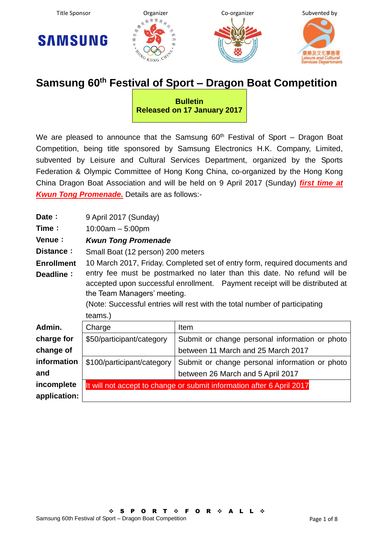







## **Samsung 60th Festival of Sport – Dragon Boat Competition**

**Bulletin Released on 17 January 2017**

We are pleased to announce that the Samsung  $60<sup>th</sup>$  Festival of Sport – Dragon Boat Competition, being title sponsored by Samsung Electronics H.K. Company, Limited, subvented by Leisure and Cultural Services Department, organized by the Sports Federation & Olympic Committee of Hong Kong China, co-organized by the Hong Kong China Dragon Boat Association and will be held on 9 April 2017 (Sunday) *first time at Kwun Tong Promenade.* Details are as follows:-

| Date:             | 9 April 2017 (Sunday)                                                        |                                                                       |  |  |  |  |  |  |  |
|-------------------|------------------------------------------------------------------------------|-----------------------------------------------------------------------|--|--|--|--|--|--|--|
|                   |                                                                              |                                                                       |  |  |  |  |  |  |  |
| Time:             | $10:00am - 5:00pm$                                                           |                                                                       |  |  |  |  |  |  |  |
| Venue:            | <b>Kwun Tong Promenade</b>                                                   |                                                                       |  |  |  |  |  |  |  |
| Distance:         | Small Boat (12 person) 200 meters                                            |                                                                       |  |  |  |  |  |  |  |
| <b>Enrollment</b> | 10 March 2017, Friday. Completed set of entry form, required documents and   |                                                                       |  |  |  |  |  |  |  |
| Deadline:         | entry fee must be postmarked no later than this date. No refund will be      |                                                                       |  |  |  |  |  |  |  |
|                   | accepted upon successful enrollment.  Payment receipt will be distributed at |                                                                       |  |  |  |  |  |  |  |
|                   | the Team Managers' meeting.                                                  |                                                                       |  |  |  |  |  |  |  |
|                   | (Note: Successful entries will rest with the total number of participating   |                                                                       |  |  |  |  |  |  |  |
|                   |                                                                              |                                                                       |  |  |  |  |  |  |  |
|                   | teams.)                                                                      |                                                                       |  |  |  |  |  |  |  |
| Admin.            | Charge                                                                       | Item                                                                  |  |  |  |  |  |  |  |
| charge for        | \$50/participant/category                                                    | Submit or change personal information or photo                        |  |  |  |  |  |  |  |
| change of         |                                                                              | between 11 March and 25 March 2017                                    |  |  |  |  |  |  |  |
| information       | \$100/participant/category                                                   | Submit or change personal information or photo                        |  |  |  |  |  |  |  |
| and               |                                                                              | between 26 March and 5 April 2017                                     |  |  |  |  |  |  |  |
| incomplete        |                                                                              | It will not accept to change or submit information after 6 April 2017 |  |  |  |  |  |  |  |
| application:      |                                                                              |                                                                       |  |  |  |  |  |  |  |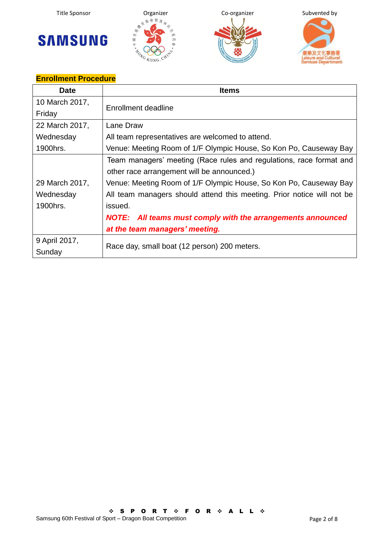







## **Enrollment Procedure**

| <b>Date</b>    | <b>Items</b>                                                           |  |  |  |  |  |
|----------------|------------------------------------------------------------------------|--|--|--|--|--|
| 10 March 2017, | Enrollment deadline                                                    |  |  |  |  |  |
| Friday         |                                                                        |  |  |  |  |  |
| 22 March 2017, | Lane Draw                                                              |  |  |  |  |  |
| Wednesday      | All team representatives are welcomed to attend.                       |  |  |  |  |  |
| 1900hrs.       | Venue: Meeting Room of 1/F Olympic House, So Kon Po, Causeway Bay      |  |  |  |  |  |
|                | Team managers' meeting (Race rules and regulations, race format and    |  |  |  |  |  |
|                | other race arrangement will be announced.)                             |  |  |  |  |  |
| 29 March 2017, | Venue: Meeting Room of 1/F Olympic House, So Kon Po, Causeway Bay      |  |  |  |  |  |
| Wednesday      | All team managers should attend this meeting. Prior notice will not be |  |  |  |  |  |
| 1900hrs.       | issued.                                                                |  |  |  |  |  |
|                | NOTE: All teams must comply with the arrangements announced            |  |  |  |  |  |
|                | at the team managers' meeting.                                         |  |  |  |  |  |
| 9 April 2017,  |                                                                        |  |  |  |  |  |
| Sunday         | Race day, small boat (12 person) 200 meters.                           |  |  |  |  |  |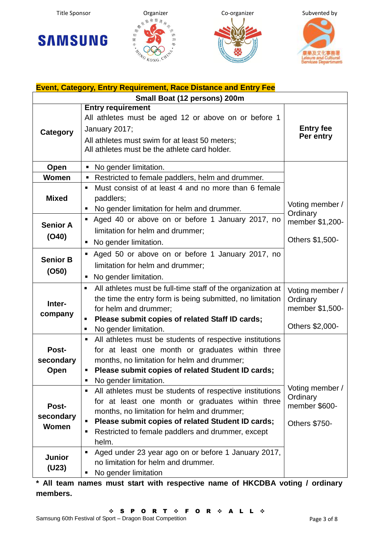







| <b>Event, Category, Entry Requirement, Race Distance and Entry Fee</b> |                                                                                                                                                                                                                                                                                                            |                                                                   |  |  |  |  |  |
|------------------------------------------------------------------------|------------------------------------------------------------------------------------------------------------------------------------------------------------------------------------------------------------------------------------------------------------------------------------------------------------|-------------------------------------------------------------------|--|--|--|--|--|
|                                                                        | Small Boat (12 persons) 200m                                                                                                                                                                                                                                                                               |                                                                   |  |  |  |  |  |
| <b>Category</b>                                                        | <b>Entry requirement</b><br>All athletes must be aged 12 or above on or before 1<br>January 2017;<br>All athletes must swim for at least 50 meters;<br>All athletes must be the athlete card holder.                                                                                                       | <b>Entry fee</b><br>Per entry                                     |  |  |  |  |  |
| Open                                                                   | No gender limitation.<br>$\blacksquare$                                                                                                                                                                                                                                                                    |                                                                   |  |  |  |  |  |
| <b>Women</b>                                                           | Restricted to female paddlers, helm and drummer.<br>п                                                                                                                                                                                                                                                      |                                                                   |  |  |  |  |  |
| <b>Mixed</b>                                                           | Must consist of at least 4 and no more than 6 female<br>$\blacksquare$<br>paddlers;<br>No gender limitation for helm and drummer.                                                                                                                                                                          | Voting member /<br>Ordinary                                       |  |  |  |  |  |
| <b>Senior A</b><br>(O40)                                               | Aged 40 or above on or before 1 January 2017, no<br>limitation for helm and drummer;<br>No gender limitation.                                                                                                                                                                                              | member \$1,200-<br>Others \$1,500-                                |  |  |  |  |  |
| <b>Senior B</b><br>(O50)                                               | Aged 50 or above on or before 1 January 2017, no<br>٠<br>limitation for helm and drummer;<br>No gender limitation.<br>п                                                                                                                                                                                    |                                                                   |  |  |  |  |  |
| Inter-<br>company                                                      | All athletes must be full-time staff of the organization at<br>٠<br>the time the entry form is being submitted, no limitation<br>for helm and drummer;<br>Please submit copies of related Staff ID cards;<br>п<br>No gender limitation.<br>٠                                                               | Voting member /<br>Ordinary<br>member \$1,500-<br>Others \$2,000- |  |  |  |  |  |
| Post-<br>secondary<br>Open                                             | All athletes must be students of respective institutions<br>for at least one month or graduates within three<br>months, no limitation for helm and drummer;<br>Please submit copies of related Student ID cards;<br>No gender limitation.<br>٠                                                             |                                                                   |  |  |  |  |  |
| Post-<br>secondary<br>Women                                            | All athletes must be students of respective institutions<br>п<br>for at least one month or graduates within three<br>months, no limitation for helm and drummer;<br>Please submit copies of related Student ID cards;<br>Restricted to female paddlers and drummer, except<br>٠<br>helm.<br>$\blacksquare$ | Voting member /<br>Ordinary<br>member \$600-<br>Others \$750-     |  |  |  |  |  |
| <b>Junior</b><br>(U23)                                                 | Aged under 23 year ago on or before 1 January 2017,<br>no limitation for helm and drummer.<br>No gender limitation<br>п                                                                                                                                                                                    |                                                                   |  |  |  |  |  |

**\* All team names must start with respective name of HKCDBA voting / ordinary members.**

 $\hat{\phi}$  S P O R T  $\hat{\phi}$  F O R  $\hat{\phi}$  A L L  $\hat{\phi}$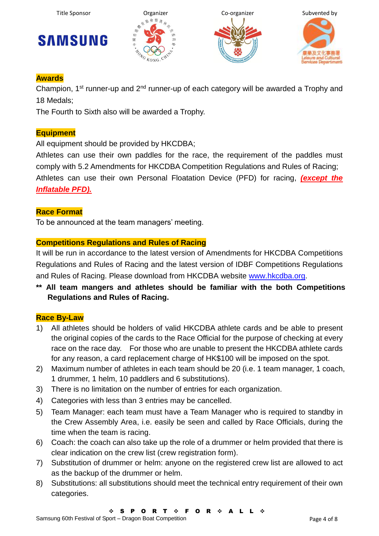







#### **Awards**

Champion, 1<sup>st</sup> runner-up and 2<sup>nd</sup> runner-up of each category will be awarded a Trophy and 18 Medals;

The Fourth to Sixth also will be awarded a Trophy.

#### **Equipment**

All equipment should be provided by HKCDBA:

Athletes can use their own paddles for the race, the requirement of the paddles must comply with 5.2 Amendments for HKCDBA Competition Regulations and Rules of Racing; Athletes can use their own Personal Floatation Device (PFD) for racing, *(except the Inflatable PFD).*

#### **Race Format**

To be announced at the team managers' meeting.

#### **Competitions Regulations and Rules of Racing**

It will be run in accordance to the latest version of Amendments for HKCDBA Competitions Regulations and Rules of Racing and the latest version of IDBF Competitions Regulations and Rules of Racing. Please download from HKCDBA website [www.hkcdba.org.](http://www.hkcdba.org/)

**\*\* All team mangers and athletes should be familiar with the both Competitions Regulations and Rules of Racing.**

#### **Race By-Law**

- 1) All athletes should be holders of valid HKCDBA athlete cards and be able to present the original copies of the cards to the Race Official for the purpose of checking at every race on the race day. For those who are unable to present the HKCDBA athlete cards for any reason, a card replacement charge of HK\$100 will be imposed on the spot.
- 2) Maximum number of athletes in each team should be 20 (i.e. 1 team manager, 1 coach, 1 drummer, 1 helm, 10 paddlers and 6 substitutions).
- 3) There is no limitation on the number of entries for each organization.
- 4) Categories with less than 3 entries may be cancelled.
- 5) Team Manager: each team must have a Team Manager who is required to standby in the Crew Assembly Area, i.e. easily be seen and called by Race Officials, during the time when the team is racing.
- 6) Coach: the coach can also take up the role of a drummer or helm provided that there is clear indication on the crew list (crew registration form).
- 7) Substitution of drummer or helm: anyone on the registered crew list are allowed to act as the backup of the drummer or helm.
- 8) Substitutions: all substitutions should meet the technical entry requirement of their own categories.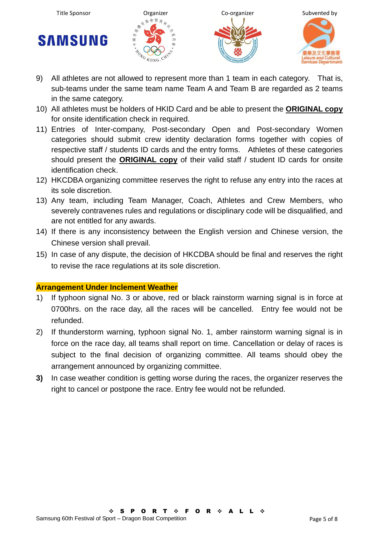







- 9) All athletes are not allowed to represent more than 1 team in each category. That is, sub-teams under the same team name Team A and Team B are regarded as 2 teams in the same category.
- 10) All athletes must be holders of HKID Card and be able to present the **ORIGINAL copy** for onsite identification check in required.
- 11) Entries of Inter-company, Post-secondary Open and Post-secondary Women categories should submit crew identity declaration forms together with copies of respective staff / students ID cards and the entry forms. Athletes of these categories should present the **ORIGINAL copy** of their valid staff / student ID cards for onsite identification check.
- 12) HKCDBA organizing committee reserves the right to refuse any entry into the races at its sole discretion.
- 13) Any team, including Team Manager, Coach, Athletes and Crew Members, who severely contravenes rules and regulations or disciplinary code will be disqualified, and are not entitled for any awards.
- 14) If there is any inconsistency between the English version and Chinese version, the Chinese version shall prevail.
- 15) In case of any dispute, the decision of HKCDBA should be final and reserves the right to revise the race regulations at its sole discretion.

#### **Arrangement Under Inclement Weather**

- 1) If typhoon signal No. 3 or above, red or black rainstorm warning signal is in force at 0700hrs. on the race day, all the races will be cancelled. Entry fee would not be refunded.
- 2) If thunderstorm warning, typhoon signal No. 1, amber rainstorm warning signal is in force on the race day, all teams shall report on time. Cancellation or delay of races is subject to the final decision of organizing committee. All teams should obey the arrangement announced by organizing committee.
- **3)** In case weather condition is getting worse during the races, the organizer reserves the right to cancel or postpone the race. Entry fee would not be refunded.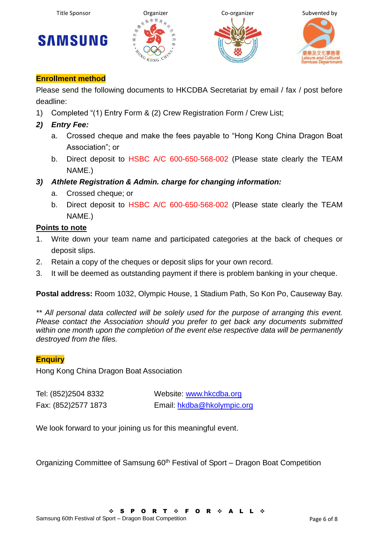







#### **Enrollment method**

Please send the following documents to HKCDBA Secretariat by email / fax / post before deadline:

- 1) Completed "(1) Entry Form & (2) Crew Registration Form / Crew List;
- *2) Entry Fee:*
	- a. Crossed cheque and make the fees payable to "Hong Kong China Dragon Boat Association"; or
	- b. Direct deposit to HSBC A/C 600-650-568-002 (Please state clearly the TEAM NAME.)
- *3) Athlete Registration & Admin. charge for changing information:*
	- a. Crossed cheque; or
	- b. Direct deposit to HSBC A/C 600-650-568-002 (Please state clearly the TEAM NAME.)

#### **Points to note**

- 1. Write down your team name and participated categories at the back of cheques or deposit slips.
- 2. Retain a copy of the cheques or deposit slips for your own record.
- 3. It will be deemed as outstanding payment if there is problem banking in your cheque.

**Postal address:** Room 1032, Olympic House, 1 Stadium Path, So Kon Po, Causeway Bay.

*\*\* All personal data collected will be solely used for the purpose of arranging this event. Please contact the Association should you prefer to get back any documents submitted within one month upon the completion of the event else respective data will be permanently destroyed from the files.*

#### **Enquiry**

Hong Kong China Dragon Boat Association

Tel: (852)2504 8332 Website: [www.hkcdba.org](http://www.hkcdba.org/) Fax: (852)2577 1873 Email: [hkdba@hkolympic.org](mailto:hkdba@hkolympic.org)

We look forward to your joining us for this meaningful event.

Organizing Committee of Samsung 60<sup>th</sup> Festival of Sport – Dragon Boat Competition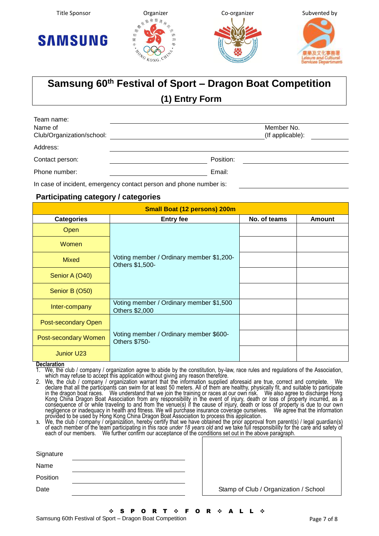







# **Samsung 60th Festival of Sport – Dragon Boat Competition**

## **(1) Entry Form**

| Team name:                |                  |
|---------------------------|------------------|
| Name of                   | Member No.       |
| Club/Organization/school: | (If applicable): |
| Address:                  |                  |
| Contact person:           | Position:        |
| Phone number:             | Email:           |
|                           |                  |

In case of incident, emergency contact person and phone number is:

#### **Participating category / categories**

| <b>Small Boat (12 persons) 200m</b> |                                                                |              |               |  |  |  |  |  |
|-------------------------------------|----------------------------------------------------------------|--------------|---------------|--|--|--|--|--|
| <b>Categories</b>                   | <b>Entry fee</b>                                               | No. of teams | <b>Amount</b> |  |  |  |  |  |
| Open                                |                                                                |              |               |  |  |  |  |  |
| Women                               |                                                                |              |               |  |  |  |  |  |
| <b>Mixed</b>                        | Voting member / Ordinary member \$1,200-<br>Others \$1,500-    |              |               |  |  |  |  |  |
| Senior A (O40)                      |                                                                |              |               |  |  |  |  |  |
| Senior B (O50)                      |                                                                |              |               |  |  |  |  |  |
| Inter-company                       | Voting member / Ordinary member \$1,500<br>Others \$2,000      |              |               |  |  |  |  |  |
| Post-secondary Open                 |                                                                |              |               |  |  |  |  |  |
| <b>Post-secondary Women</b>         | Voting member / Ordinary member \$600-<br><b>Others \$750-</b> |              |               |  |  |  |  |  |
| Junior U23                          |                                                                |              |               |  |  |  |  |  |

**Declaration**

1. We, the club / company / organization agree to abide by the constitution, by-law, race rules and regulations of the Association, which may refuse to accept this application without giving any reason therefore.

2. We, the club / company / organization warrant that the information supplied aforesaid are true, correct and complete. We declare that all the participants can swim for at least 50 meters. All of them are healthy, physically fit, and suitable to participate in the dragon boat races. We understand that we join the training or races at our own risk. We also agree to discharge Hong Kong China Dragon Boat Association from any responsibility in the event of injury, death or loss of property incurred, as a consequence of or while traveling to and from the venue(s) if the cause of injury, death or loss of property is due to our own negligence or inadequacy in health and fitness. We will purchase insurance coverage ourselves. We agree that the information provided to be used by Hong Kong China Dragon Boat Association to process this application.

**3.** We, the club / company / organization, hereby certify that we have obtained the prior approval from parent(s) / legal guardian(s) of each member of the team participating in this race *under 18 years old* and we take full responsibility for the care and safety of each of our members. We further confirm our acceptance of the conditions set out in the above paragraph.

| Signature |                                       |
|-----------|---------------------------------------|
| Name      |                                       |
| Position  |                                       |
| Date      | Stamp of Club / Organization / School |

 $\hat{\phi}$  S P O R T  $\hat{\phi}$  F O R  $\hat{\phi}$ 

Samsung 60th Festival of Sport – Dragon Boat Competition Page 7 of 8